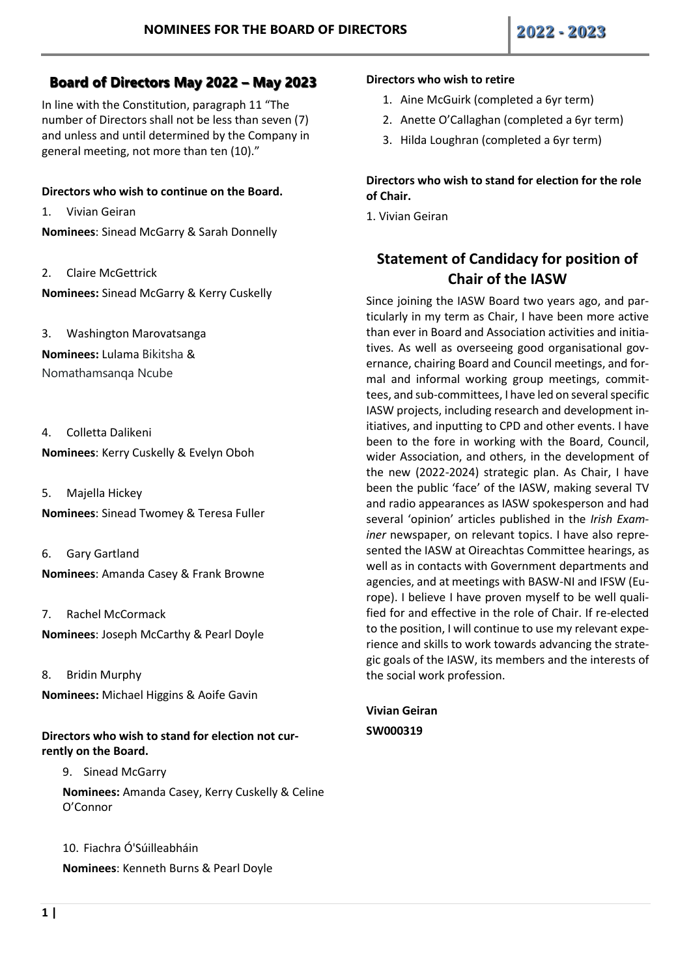## **Board of Directors May 2022 – May 2023**

In line with the Constitution, paragraph 11 "The number of Directors shall not be less than seven (7) and unless and until determined by the Company in general meeting, not more than ten (10)."

## **Directors who wish to continue on the Board.**

1. Vivian Geiran

**Nominees**: Sinead McGarry & Sarah Donnelly

2. Claire McGettrick

**Nominees:** Sinead McGarry & Kerry Cuskelly

3. Washington Marovatsanga **Nominees:** Lulama Bikitsha & Nomathamsanqa Ncube

4. Colletta Dalikeni **Nominees**: Kerry Cuskelly & Evelyn Oboh

5. Majella Hickey **Nominees**: Sinead Twomey & Teresa Fuller

- 6. Gary Gartland **Nominees**: Amanda Casey & Frank Browne
- 7. Rachel McCormack **Nominees**: Joseph McCarthy & Pearl Doyle
- 8. Bridin Murphy

**Nominees:** Michael Higgins & Aoife Gavin

**Directors who wish to stand for election not currently on the Board.**

9. Sinead McGarry

**Nominees:** Amanda Casey, Kerry Cuskelly & Celine O'Connor

10. Fiachra Ó'Súilleabháin **Nominees**: Kenneth Burns & Pearl Doyle

## **Directors who wish to retire**

- 1. Aine McGuirk (completed a 6yr term)
- 2. Anette O'Callaghan (completed a 6yr term)
- 3. Hilda Loughran (completed a 6yr term)

## **Directors who wish to stand for election for the role of Chair.**

1. Vivian Geiran

# **Statement of Candidacy for position of Chair of the IASW**

Since joining the IASW Board two years ago, and particularly in my term as Chair, I have been more active than ever in Board and Association activities and initiatives. As well as overseeing good organisational governance, chairing Board and Council meetings, and formal and informal working group meetings, committees, and sub-committees, I have led on several specific IASW projects, including research and development initiatives, and inputting to CPD and other events. I have been to the fore in working with the Board, Council, wider Association, and others, in the development of the new (2022-2024) strategic plan. As Chair, I have been the public 'face' of the IASW, making several TV and radio appearances as IASW spokesperson and had several 'opinion' articles published in the *Irish Examiner* newspaper, on relevant topics. I have also represented the IASW at Oireachtas Committee hearings, as well as in contacts with Government departments and agencies, and at meetings with BASW-NI and IFSW (Europe). I believe I have proven myself to be well qualified for and effective in the role of Chair. If re-elected to the position, I will continue to use my relevant experience and skills to work towards advancing the strategic goals of the IASW, its members and the interests of the social work profession.

**Vivian Geiran SW000319**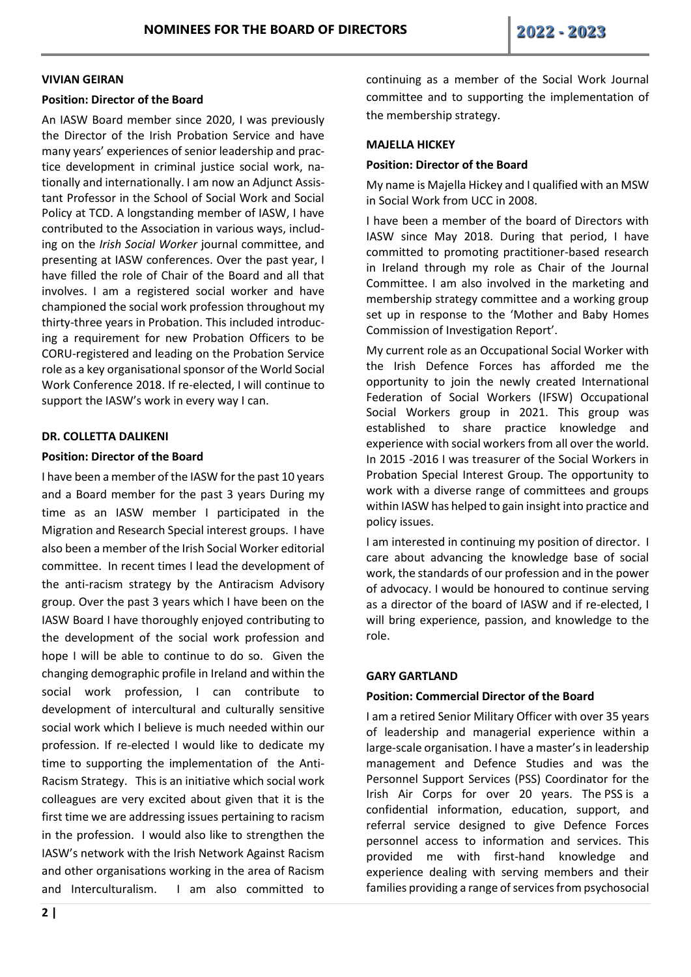#### **VIVIAN GEIRAN**

## **Position: Director of the Board**

An IASW Board member since 2020, I was previously the Director of the Irish Probation Service and have many years' experiences of senior leadership and practice development in criminal justice social work, nationally and internationally. I am now an Adjunct Assistant Professor in the School of Social Work and Social Policy at TCD. A longstanding member of IASW, I have contributed to the Association in various ways, including on the *Irish Social Worker* journal committee, and presenting at IASW conferences. Over the past year, I have filled the role of Chair of the Board and all that involves. I am a registered social worker and have championed the social work profession throughout my thirty-three years in Probation. This included introducing a requirement for new Probation Officers to be CORU-registered and leading on the Probation Service role as a key organisational sponsor of the World Social Work Conference 2018. If re-elected, I will continue to support the IASW's work in every way I can.

## **DR. COLLETTA DALIKENI**

#### **Position: Director of the Board**

I have been a member of the IASW for the past 10 years and a Board member for the past 3 years During my time as an IASW member I participated in the Migration and Research Special interest groups. I have also been a member of the Irish Social Worker editorial committee. In recent times I lead the development of the anti-racism strategy by the Antiracism Advisory group. Over the past 3 years which I have been on the IASW Board I have thoroughly enjoyed contributing to the development of the social work profession and hope I will be able to continue to do so. Given the changing demographic profile in Ireland and within the social work profession, I can contribute to development of intercultural and culturally sensitive social work which I believe is much needed within our profession. If re-elected I would like to dedicate my time to supporting the implementation of the Anti-Racism Strategy. This is an initiative which social work colleagues are very excited about given that it is the first time we are addressing issues pertaining to racism in the profession. I would also like to strengthen the IASW's network with the Irish Network Against Racism and other organisations working in the area of Racism and Interculturalism. I am also committed to

continuing as a member of the Social Work Journal committee and to supporting the implementation of the membership strategy.

## **MAJELLA HICKEY**

#### **Position: Director of the Board**

My name is Majella Hickey and I qualified with an MSW in Social Work from UCC in 2008.

I have been a member of the board of Directors with IASW since May 2018. During that period, I have committed to promoting practitioner-based research in Ireland through my role as Chair of the Journal Committee. I am also involved in the marketing and membership strategy committee and a working group set up in response to the 'Mother and Baby Homes Commission of Investigation Report'.

My current role as an Occupational Social Worker with the Irish Defence Forces has afforded me the opportunity to join the newly created International Federation of Social Workers (IFSW) Occupational Social Workers group in 2021. This group was established to share practice knowledge and experience with social workers from all over the world. In 2015 -2016 I was treasurer of the Social Workers in Probation Special Interest Group. The opportunity to work with a diverse range of committees and groups within IASW has helped to gain insight into practice and policy issues.

I am interested in continuing my position of director. I care about advancing the knowledge base of social work, the standards of our profession and in the power of advocacy. I would be honoured to continue serving as a director of the board of IASW and if re-elected, I will bring experience, passion, and knowledge to the role.

## **GARY GARTLAND**

## **Position: Commercial Director of the Board**

I am a retired Senior Military Officer with over 35 years of leadership and managerial experience within a large-scale organisation. I have a master's in leadership management and Defence Studies and was the Personnel Support Services (PSS) Coordinator for the Irish Air Corps for over 20 years. The PSS is a confidential information, education, support, and referral service designed to give Defence Forces personnel access to information and services. This provided me with first-hand knowledge and experience dealing with serving members and their families providing a range of services from psychosocial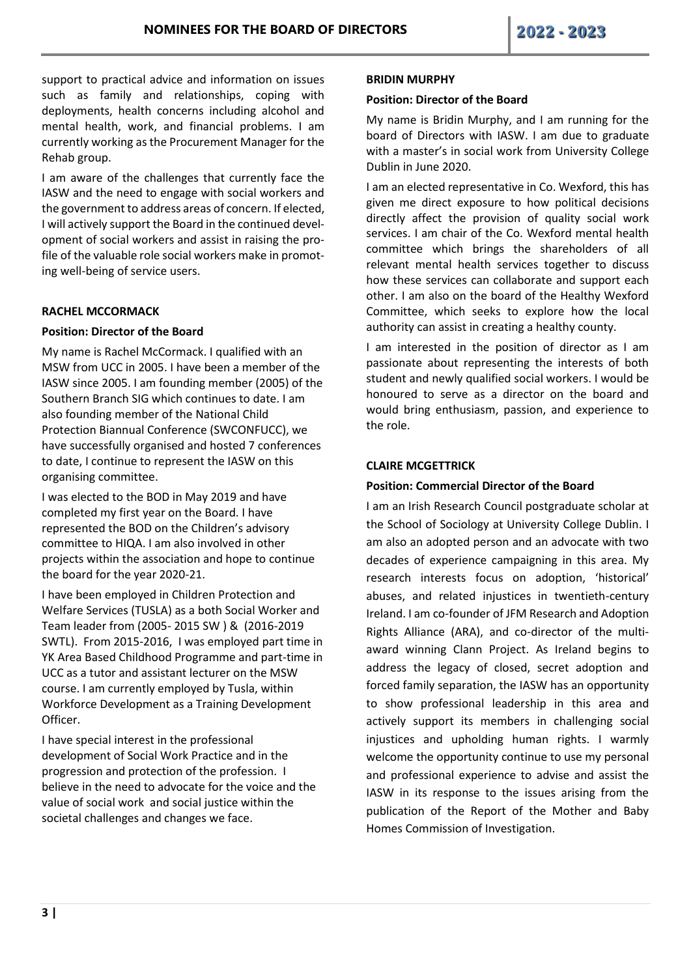support to practical advice and information on issues such as family and relationships, coping with deployments, health concerns including alcohol and mental health, work, and financial problems. I am currently working as the Procurement Manager for the Rehab group.

I am aware of the challenges that currently face the IASW and the need to engage with social workers and the government to address areas of concern. If elected, I will actively support the Board in the continued development of social workers and assist in raising the profile of the valuable role social workers make in promoting well-being of service users.

## **RACHEL MCCORMACK**

## **Position: Director of the Board**

My name is Rachel McCormack. I qualified with an MSW from UCC in 2005. I have been a member of the IASW since 2005. I am founding member (2005) of the Southern Branch SIG which continues to date. I am also founding member of the National Child Protection Biannual Conference (SWCONFUCC), we have successfully organised and hosted 7 conferences to date, I continue to represent the IASW on this organising committee.

I was elected to the BOD in May 2019 and have completed my first year on the Board. I have represented the BOD on the Children's advisory committee to HIQA. I am also involved in other projects within the association and hope to continue the board for the year 2020-21.

I have been employed in Children Protection and Welfare Services (TUSLA) as a both Social Worker and Team leader from (2005- 2015 SW ) & (2016-2019 SWTL). From 2015-2016, I was employed part time in YK Area Based Childhood Programme and part-time in UCC as a tutor and assistant lecturer on the MSW course. I am currently employed by Tusla, within Workforce Development as a Training Development Officer.

I have special interest in the professional development of Social Work Practice and in the progression and protection of the profession. I believe in the need to advocate for the voice and the value of social work and social justice within the societal challenges and changes we face.

#### **BRIDIN MURPHY**

## **Position: Director of the Board**

My name is Bridin Murphy, and I am running for the board of Directors with IASW. I am due to graduate with a master's in social work from University College Dublin in June 2020.

I am an elected representative in Co. Wexford, this has given me direct exposure to how political decisions directly affect the provision of quality social work services. I am chair of the Co. Wexford mental health committee which brings the shareholders of all relevant mental health services together to discuss how these services can collaborate and support each other. I am also on the board of the Healthy Wexford Committee, which seeks to explore how the local authority can assist in creating a healthy county.

I am interested in the position of director as I am passionate about representing the interests of both student and newly qualified social workers. I would be honoured to serve as a director on the board and would bring enthusiasm, passion, and experience to the role.

## **CLAIRE MCGETTRICK**

## **Position: Commercial Director of the Board**

I am an Irish Research Council postgraduate scholar at the School of Sociology at University College Dublin. I am also an adopted person and an advocate with two decades of experience campaigning in this area. My research interests focus on adoption, 'historical' abuses, and related injustices in twentieth-century Ireland. I am co-founder of JFM Research and Adoption Rights Alliance (ARA), and co-director of the multiaward winning Clann Project. As Ireland begins to address the legacy of closed, secret adoption and forced family separation, the IASW has an opportunity to show professional leadership in this area and actively support its members in challenging social injustices and upholding human rights. I warmly welcome the opportunity continue to use my personal and professional experience to advise and assist the IASW in its response to the issues arising from the publication of the Report of the Mother and Baby Homes Commission of Investigation.